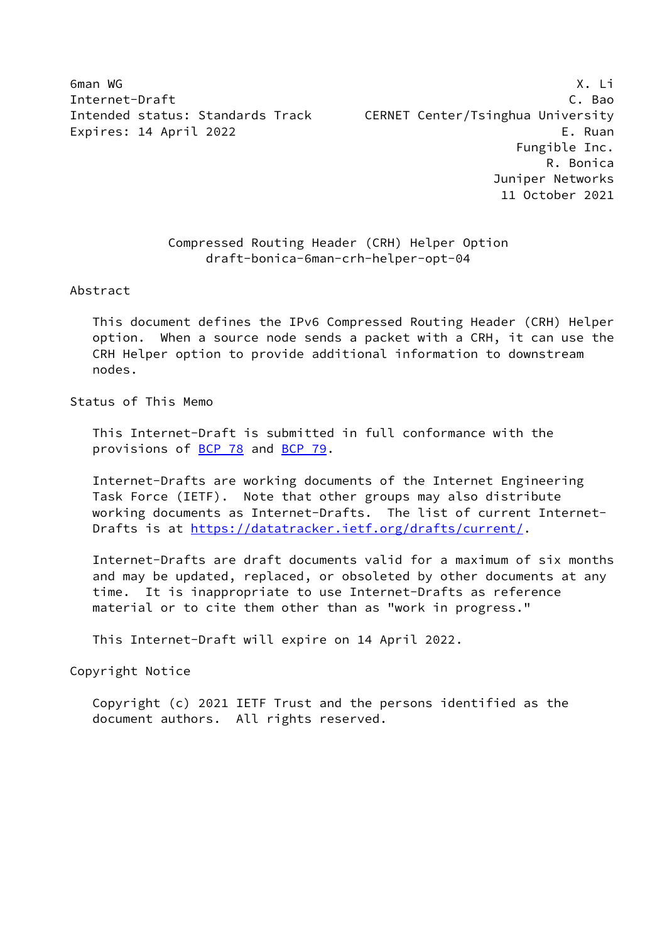6man WG X. Li Internet-Draft C. Bao Intended status: Standards Track CERNET Center/Tsinghua University Expires: 14 April 2022 E. Ruan Fungible Inc. R. Bonica Juniper Networks 11 October 2021

## Compressed Routing Header (CRH) Helper Option draft-bonica-6man-crh-helper-opt-04

Abstract

 This document defines the IPv6 Compressed Routing Header (CRH) Helper option. When a source node sends a packet with a CRH, it can use the CRH Helper option to provide additional information to downstream nodes.

Status of This Memo

 This Internet-Draft is submitted in full conformance with the provisions of **BCP 78** and **BCP 79**.

 Internet-Drafts are working documents of the Internet Engineering Task Force (IETF). Note that other groups may also distribute working documents as Internet-Drafts. The list of current Internet Drafts is at<https://datatracker.ietf.org/drafts/current/>.

 Internet-Drafts are draft documents valid for a maximum of six months and may be updated, replaced, or obsoleted by other documents at any time. It is inappropriate to use Internet-Drafts as reference material or to cite them other than as "work in progress."

This Internet-Draft will expire on 14 April 2022.

Copyright Notice

 Copyright (c) 2021 IETF Trust and the persons identified as the document authors. All rights reserved.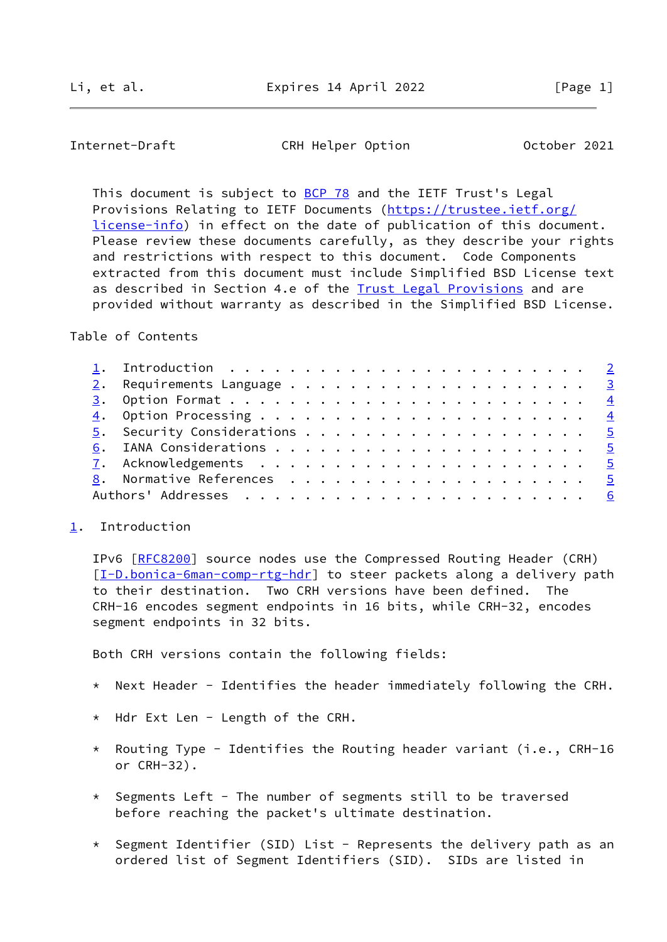<span id="page-1-1"></span>Internet-Draft CRH Helper Option October 2021

This document is subject to [BCP 78](https://datatracker.ietf.org/doc/pdf/bcp78) and the IETF Trust's Legal Provisions Relating to IETF Documents ([https://trustee.ietf.org/](https://trustee.ietf.org/license-info) [license-info](https://trustee.ietf.org/license-info)) in effect on the date of publication of this document. Please review these documents carefully, as they describe your rights and restrictions with respect to this document. Code Components extracted from this document must include Simplified BSD License text as described in Section 4.e of the [Trust Legal Provisions](https://trustee.ietf.org/license-info) and are provided without warranty as described in the Simplified BSD License.

Table of Contents

## <span id="page-1-0"></span>[1](#page-1-0). Introduction

 IPv6 [\[RFC8200](https://datatracker.ietf.org/doc/pdf/rfc8200)] source nodes use the Compressed Routing Header (CRH) [\[I-D.bonica-6man-comp-rtg-hdr](#page-5-4)] to steer packets along a delivery path to their destination. Two CRH versions have been defined. The CRH-16 encodes segment endpoints in 16 bits, while CRH-32, encodes segment endpoints in 32 bits.

Both CRH versions contain the following fields:

- \* Next Header Identifies the header immediately following the CRH.
- \* Hdr Ext Len Length of the CRH.
- \* Routing Type Identifies the Routing header variant (i.e., CRH-16 or CRH-32).
- $*$  Segments Left The number of segments still to be traversed before reaching the packet's ultimate destination.
- \* Segment Identifier (SID) List Represents the delivery path as an ordered list of Segment Identifiers (SID). SIDs are listed in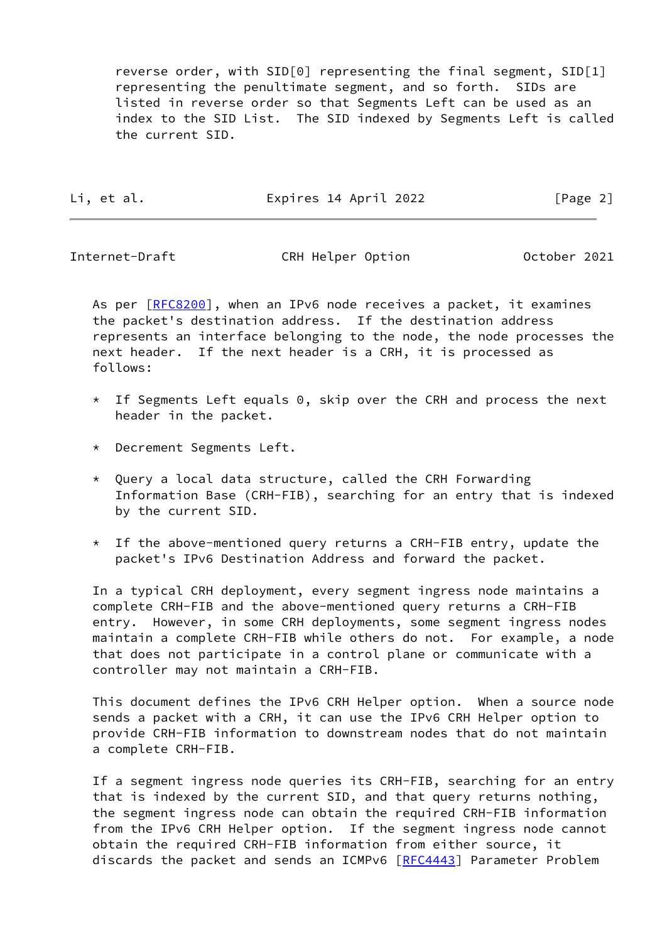reverse order, with SID[0] representing the final segment, SID[1] representing the penultimate segment, and so forth. SIDs are listed in reverse order so that Segments Left can be used as an index to the SID List. The SID indexed by Segments Left is called the current SID.

|  | eт | al<br>٠ |  |
|--|----|---------|--|
|  |    |         |  |

Expires 14 April 2022 [Page 2]

<span id="page-2-0"></span>Internet-Draft CRH Helper Option October 2021

As per [\[RFC8200](https://datatracker.ietf.org/doc/pdf/rfc8200)], when an IPv6 node receives a packet, it examines the packet's destination address. If the destination address represents an interface belonging to the node, the node processes the next header. If the next header is a CRH, it is processed as follows:

- $*$  If Segments Left equals 0, skip over the CRH and process the next header in the packet.
- \* Decrement Segments Left.
- \* Query a local data structure, called the CRH Forwarding Information Base (CRH-FIB), searching for an entry that is indexed by the current SID.
- $*$  If the above-mentioned query returns a CRH-FIB entry, update the packet's IPv6 Destination Address and forward the packet.

 In a typical CRH deployment, every segment ingress node maintains a complete CRH-FIB and the above-mentioned query returns a CRH-FIB entry. However, in some CRH deployments, some segment ingress nodes maintain a complete CRH-FIB while others do not. For example, a node that does not participate in a control plane or communicate with a controller may not maintain a CRH-FIB.

 This document defines the IPv6 CRH Helper option. When a source node sends a packet with a CRH, it can use the IPv6 CRH Helper option to provide CRH-FIB information to downstream nodes that do not maintain a complete CRH-FIB.

 If a segment ingress node queries its CRH-FIB, searching for an entry that is indexed by the current SID, and that query returns nothing, the segment ingress node can obtain the required CRH-FIB information from the IPv6 CRH Helper option. If the segment ingress node cannot obtain the required CRH-FIB information from either source, it discards the packet and sends an ICMPv6 [\[RFC4443](https://datatracker.ietf.org/doc/pdf/rfc4443)] Parameter Problem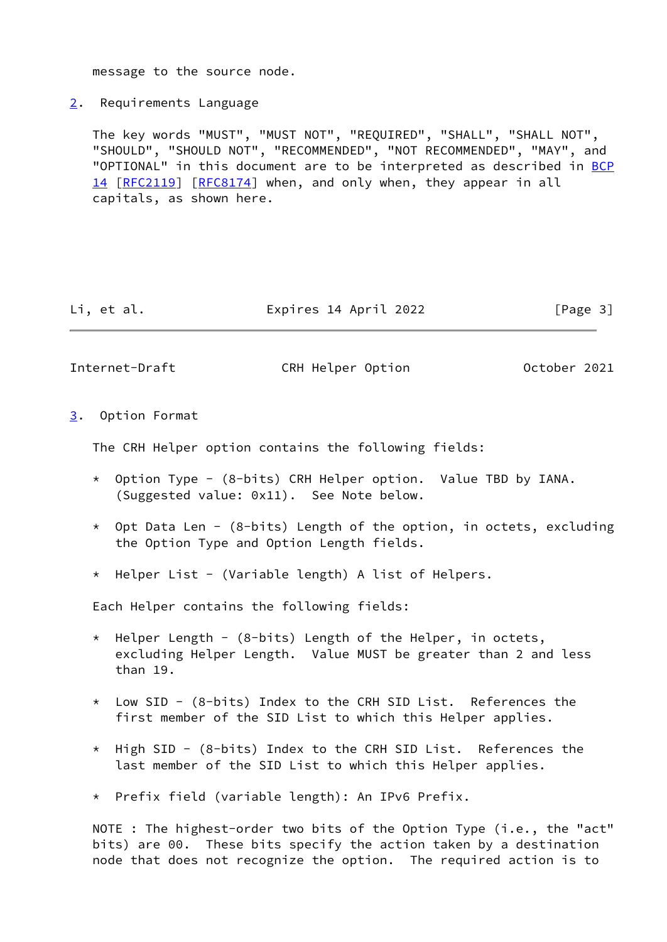message to the source node.

<span id="page-3-0"></span>[2](#page-3-0). Requirements Language

 The key words "MUST", "MUST NOT", "REQUIRED", "SHALL", "SHALL NOT", "SHOULD", "SHOULD NOT", "RECOMMENDED", "NOT RECOMMENDED", "MAY", and "OPTIONAL" in this document are to be interpreted as described in [BCP](https://datatracker.ietf.org/doc/pdf/bcp14) [14](https://datatracker.ietf.org/doc/pdf/bcp14) [[RFC2119\]](https://datatracker.ietf.org/doc/pdf/rfc2119) [\[RFC8174](https://datatracker.ietf.org/doc/pdf/rfc8174)] when, and only when, they appear in all capitals, as shown here.

Li, et al. Expires 14 April 2022 [Page 3]

<span id="page-3-2"></span>Internet-Draft CRH Helper Option October 2021

<span id="page-3-1"></span>[3](#page-3-1). Option Format

The CRH Helper option contains the following fields:

- $*$  Option Type (8-bits) CRH Helper option. Value TBD by IANA. (Suggested value: 0x11). See Note below.
- \* Opt Data Len (8-bits) Length of the option, in octets, excluding the Option Type and Option Length fields.
- \* Helper List (Variable length) A list of Helpers.

Each Helper contains the following fields:

- $*$  Helper Length (8-bits) Length of the Helper, in octets, excluding Helper Length. Value MUST be greater than 2 and less than 19.
- \* Low SID (8-bits) Index to the CRH SID List. References the first member of the SID List to which this Helper applies.
- \* High SID (8-bits) Index to the CRH SID List. References the last member of the SID List to which this Helper applies.
- \* Prefix field (variable length): An IPv6 Prefix.

 NOTE : The highest-order two bits of the Option Type (i.e., the "act" bits) are 00. These bits specify the action taken by a destination node that does not recognize the option. The required action is to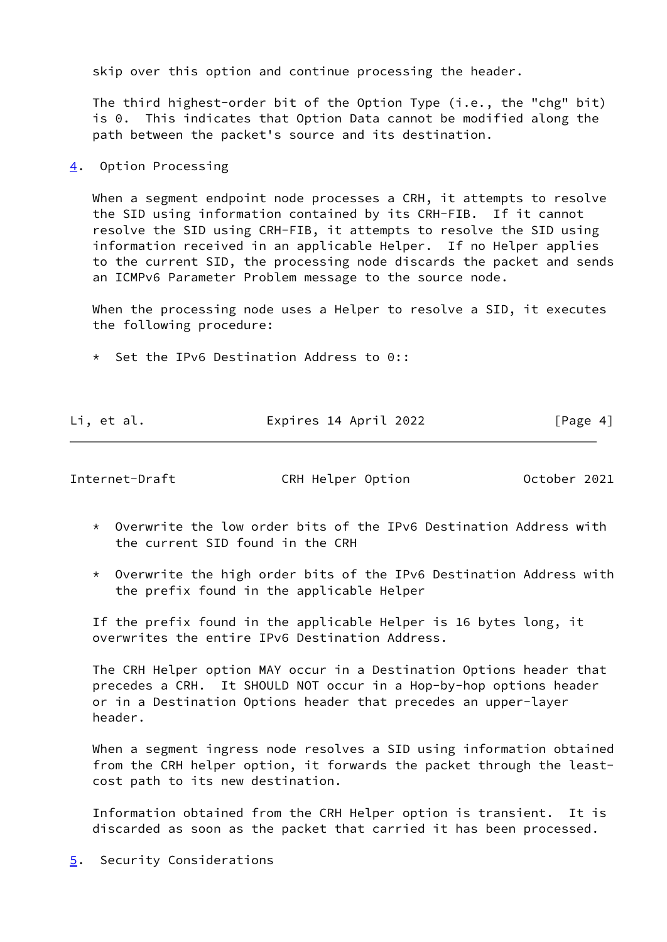skip over this option and continue processing the header.

 The third highest-order bit of the Option Type (i.e., the "chg" bit) is 0. This indicates that Option Data cannot be modified along the path between the packet's source and its destination.

<span id="page-4-0"></span>[4](#page-4-0). Option Processing

 When a segment endpoint node processes a CRH, it attempts to resolve the SID using information contained by its CRH-FIB. If it cannot resolve the SID using CRH-FIB, it attempts to resolve the SID using information received in an applicable Helper. If no Helper applies to the current SID, the processing node discards the packet and sends an ICMPv6 Parameter Problem message to the source node.

 When the processing node uses a Helper to resolve a SID, it executes the following procedure:

\* Set the IPv6 Destination Address to 0::

| Li, et al. | Expires 14 April 2022 | [Page 4] |
|------------|-----------------------|----------|

<span id="page-4-2"></span>Internet-Draft CRH Helper Option October 2021

- \* Overwrite the low order bits of the IPv6 Destination Address with the current SID found in the CRH
- \* Overwrite the high order bits of the IPv6 Destination Address with the prefix found in the applicable Helper

 If the prefix found in the applicable Helper is 16 bytes long, it overwrites the entire IPv6 Destination Address.

 The CRH Helper option MAY occur in a Destination Options header that precedes a CRH. It SHOULD NOT occur in a Hop-by-hop options header or in a Destination Options header that precedes an upper-layer header.

 When a segment ingress node resolves a SID using information obtained from the CRH helper option, it forwards the packet through the least cost path to its new destination.

 Information obtained from the CRH Helper option is transient. It is discarded as soon as the packet that carried it has been processed.

<span id="page-4-1"></span>[5](#page-4-1). Security Considerations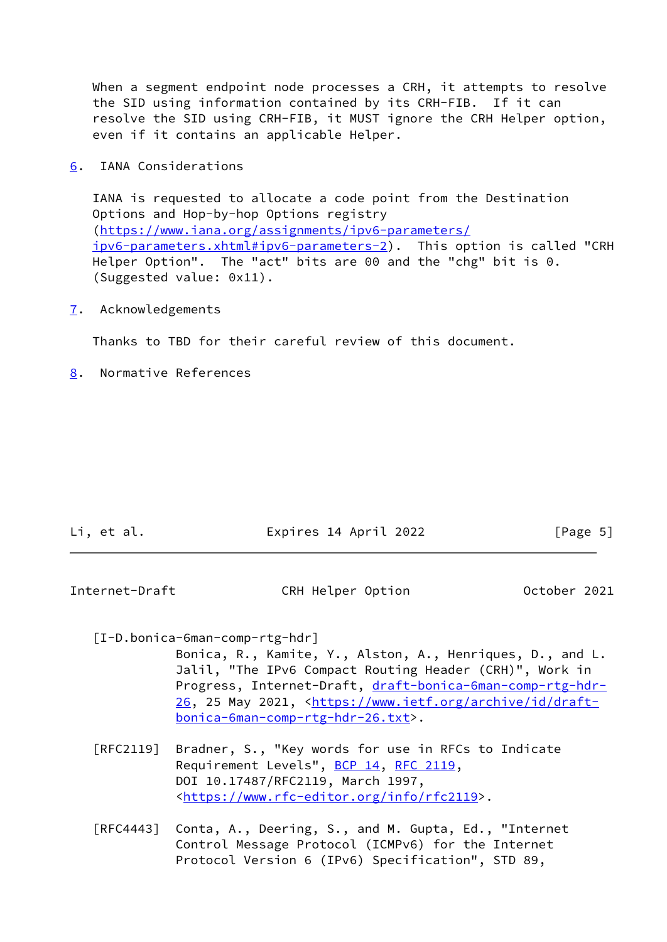When a segment endpoint node processes a CRH, it attempts to resolve the SID using information contained by its CRH-FIB. If it can resolve the SID using CRH-FIB, it MUST ignore the CRH Helper option, even if it contains an applicable Helper.

<span id="page-5-0"></span>[6](#page-5-0). IANA Considerations

 IANA is requested to allocate a code point from the Destination Options and Hop-by-hop Options registry [\(https://www.iana.org/assignments/ipv6-parameters/](https://www.iana.org/assignments/ipv6-parameters/ipv6-parameters.xhtml#ipv6-parameters-2) [ipv6-parameters.xhtml#ipv6-parameters-2](https://www.iana.org/assignments/ipv6-parameters/ipv6-parameters.xhtml#ipv6-parameters-2)). This option is called "CRH Helper Option". The "act" bits are 00 and the "chg" bit is 0. (Suggested value: 0x11).

<span id="page-5-1"></span>[7](#page-5-1). Acknowledgements

Thanks to TBD for their careful review of this document.

<span id="page-5-2"></span>[8](#page-5-2). Normative References

| Li, et al. | Expires 14 April 2022 | [Page 5] |
|------------|-----------------------|----------|
|            |                       |          |

<span id="page-5-3"></span>Internet-Draft CRH Helper Option October 2021

<span id="page-5-4"></span>[I-D.bonica-6man-comp-rtg-hdr]

 Bonica, R., Kamite, Y., Alston, A., Henriques, D., and L. Jalil, "The IPv6 Compact Routing Header (CRH)", Work in Progress, Internet-Draft, [draft-bonica-6man-comp-rtg-hdr-](https://datatracker.ietf.org/doc/pdf/draft-bonica-6man-comp-rtg-hdr-26) [26,](https://datatracker.ietf.org/doc/pdf/draft-bonica-6man-comp-rtg-hdr-26) 25 May 2021, [<https://www.ietf.org/archive/id/draft](https://www.ietf.org/archive/id/draft-bonica-6man-comp-rtg-hdr-26.txt) [bonica-6man-comp-rtg-hdr-26.txt](https://www.ietf.org/archive/id/draft-bonica-6man-comp-rtg-hdr-26.txt)>.

- [RFC2119] Bradner, S., "Key words for use in RFCs to Indicate Requirement Levels", [BCP 14](https://datatracker.ietf.org/doc/pdf/bcp14), [RFC 2119](https://datatracker.ietf.org/doc/pdf/rfc2119), DOI 10.17487/RFC2119, March 1997, <[https://www.rfc-editor.org/info/rfc2119>](https://www.rfc-editor.org/info/rfc2119).
- [RFC4443] Conta, A., Deering, S., and M. Gupta, Ed., "Internet Control Message Protocol (ICMPv6) for the Internet Protocol Version 6 (IPv6) Specification", STD 89,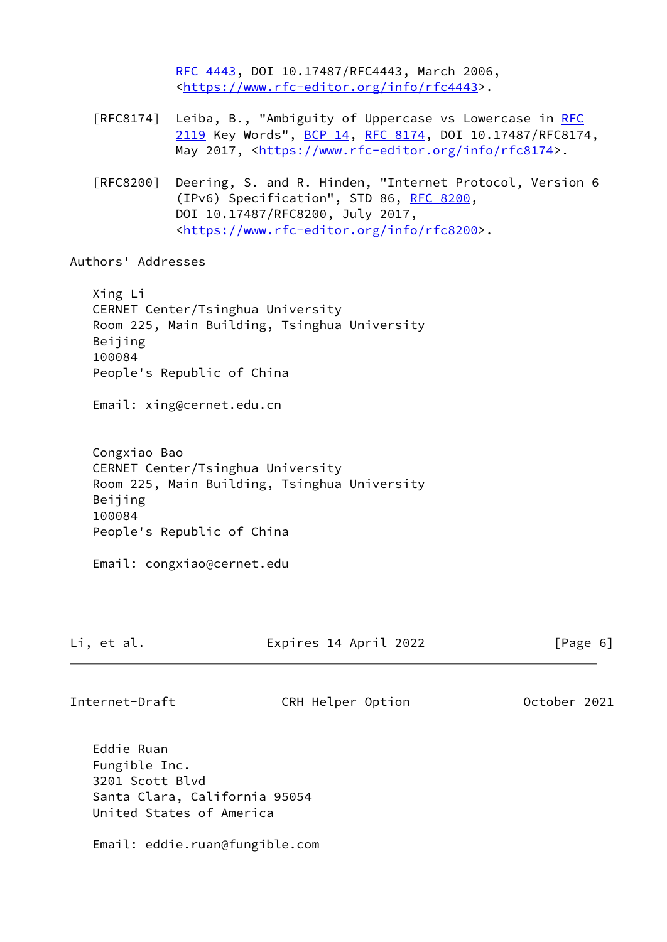[RFC 4443,](https://datatracker.ietf.org/doc/pdf/rfc4443) DOI 10.17487/RFC4443, March 2006, <[https://www.rfc-editor.org/info/rfc4443>](https://www.rfc-editor.org/info/rfc4443).

- [RFC8174] Leiba, B., "Ambiguity of Uppercase vs Lowercase in [RFC](https://datatracker.ietf.org/doc/pdf/rfc2119) [2119](https://datatracker.ietf.org/doc/pdf/rfc2119) Key Words", [BCP 14](https://datatracker.ietf.org/doc/pdf/bcp14), [RFC 8174,](https://datatracker.ietf.org/doc/pdf/rfc8174) DOI 10.17487/RFC8174, May 2017, [<https://www.rfc-editor.org/info/rfc8174](https://www.rfc-editor.org/info/rfc8174)>.
- [RFC8200] Deering, S. and R. Hinden, "Internet Protocol, Version 6 (IPv6) Specification", STD 86, [RFC 8200](https://datatracker.ietf.org/doc/pdf/rfc8200), DOI 10.17487/RFC8200, July 2017, <[https://www.rfc-editor.org/info/rfc8200>](https://www.rfc-editor.org/info/rfc8200).

Authors' Addresses

 Xing Li CERNET Center/Tsinghua University Room 225, Main Building, Tsinghua University Beijing 100084 People's Republic of China

Email: xing@cernet.edu.cn

 Congxiao Bao CERNET Center/Tsinghua University Room 225, Main Building, Tsinghua University Beijing 100084 People's Republic of China

Email: congxiao@cernet.edu

Li, et al. Expires 14 April 2022 [Page 6]

Internet-Draft CRH Helper Option October 2021

 Eddie Ruan Fungible Inc. 3201 Scott Blvd Santa Clara, California 95054 United States of America

Email: eddie.ruan@fungible.com